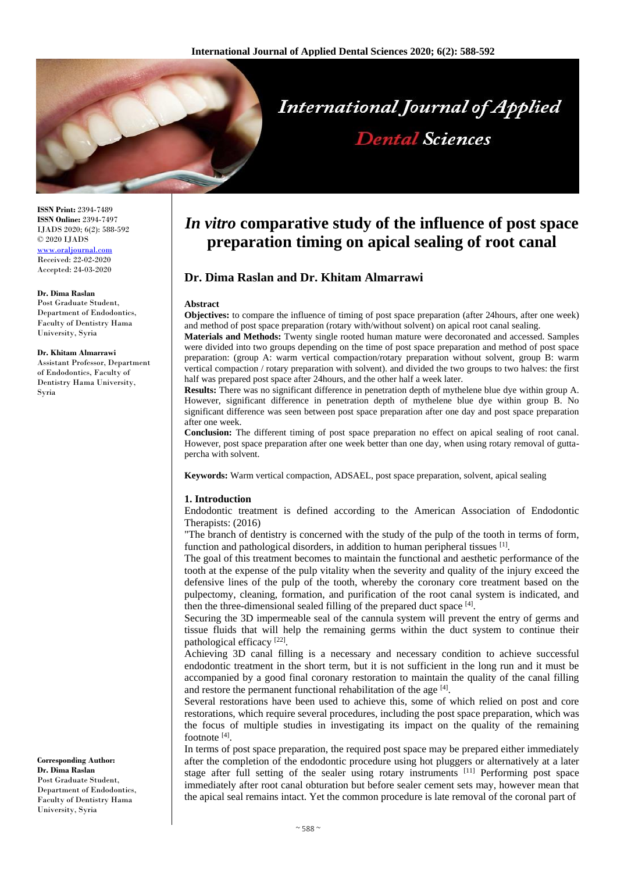

**ISSN Print:** 2394-7489 **ISSN Online:** 2394-7497 IJADS 2020; 6(2): 588-592 © 2020 IJADS <www.oraljournal.com> Received: 22-02-2020 Accepted: 24-03-2020

## **Dr. Dima Raslan**

Post Graduate Student, Department of Endodontics, Faculty of Dentistry Hama University, Syria

#### **Dr. Khitam Almarrawi**

Assistant Professor, Department of Endodontics, Faculty of Dentistry Hama University, Syria

#### **Corresponding Author: Dr. Dima Raslan**

Post Graduate Student, Department of Endodontics, Faculty of Dentistry Hama University, Syria

# *In vitro* **comparative study of the influence of post space preparation timing on apical sealing of root canal**

# **Dr. Dima Raslan and Dr. Khitam Almarrawi**

#### **Abstract**

**Objectives:** to compare the influence of timing of post space preparation (after 24hours, after one week) and method of post space preparation (rotary with/without solvent) on apical root canal sealing.

**Materials and Methods:** Twenty single rooted human mature were decoronated and accessed. Samples were divided into two groups depending on the time of post space preparation and method of post space preparation: (group A: warm vertical compaction/rotary preparation without solvent, group B: warm vertical compaction / rotary preparation with solvent). and divided the two groups to two halves: the first half was prepared post space after 24hours, and the other half a week later.

**Results:** There was no significant difference in penetration depth of mythelene blue dye within group A. However, significant difference in penetration depth of mythelene blue dye within group B. No significant difference was seen between post space preparation after one day and post space preparation after one week.

**Conclusion:** The different timing of post space preparation no effect on apical sealing of root canal. However, post space preparation after one week better than one day, when using rotary removal of guttapercha with solvent.

**Keywords:** Warm vertical compaction, ADSAEL, post space preparation, solvent, apical sealing

#### **1. Introduction**

Endodontic treatment is defined according to the American Association of Endodontic Therapists: (2016)

"The branch of dentistry is concerned with the study of the pulp of the tooth in terms of form, function and pathological disorders, in addition to human peripheral tissues [1].

The goal of this treatment becomes to maintain the functional and aesthetic performance of the tooth at the expense of the pulp vitality when the severity and quality of the injury exceed the defensive lines of the pulp of the tooth, whereby the coronary core treatment based on the pulpectomy, cleaning, formation, and purification of the root canal system is indicated, and then the three-dimensional sealed filling of the prepared duct space  $[4]$ .

Securing the 3D impermeable seal of the cannula system will prevent the entry of germs and tissue fluids that will help the remaining germs within the duct system to continue their pathological efficacy<sup>[22]</sup>.

Achieving 3D canal filling is a necessary and necessary condition to achieve successful endodontic treatment in the short term, but it is not sufficient in the long run and it must be accompanied by a good final coronary restoration to maintain the quality of the canal filling and restore the permanent functional rehabilitation of the age [4].

Several restorations have been used to achieve this, some of which relied on post and core restorations, which require several procedures, including the post space preparation, which was the focus of multiple studies in investigating its impact on the quality of the remaining footnote<sup>[4]</sup>.

In terms of post space preparation, the required post space may be prepared either immediately after the completion of the endodontic procedure using hot pluggers or alternatively at a later stage after full setting of the sealer using rotary instruments [11] Performing post space immediately after root canal obturation but before sealer cement sets may, however mean that the apical seal remains intact. Yet the common procedure is late removal of the coronal part of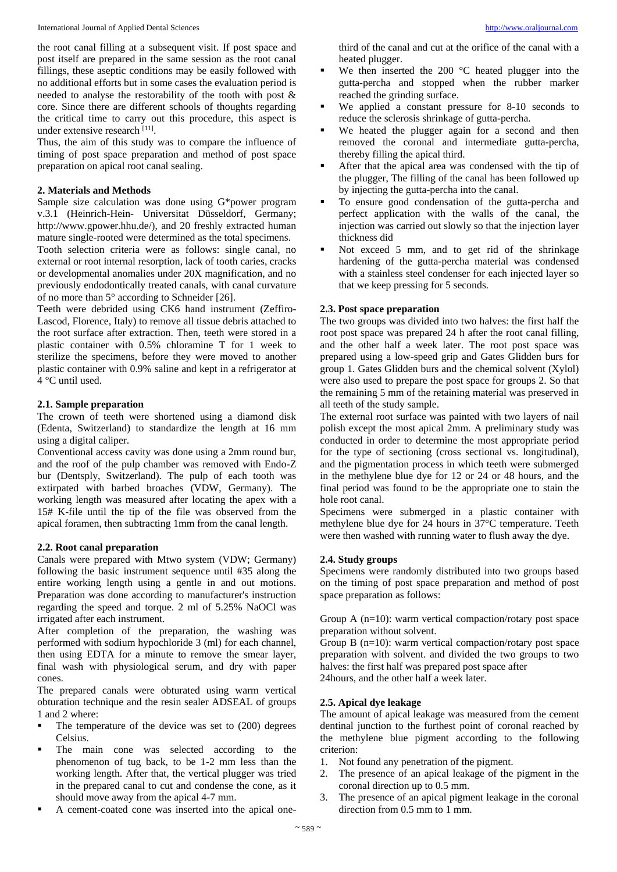the root canal filling at a subsequent visit. If post space and post itself are prepared in the same session as the root canal fillings, these aseptic conditions may be easily followed with no additional efforts but in some cases the evaluation period is needed to analyse the restorability of the tooth with post & core. Since there are different schools of thoughts regarding the critical time to carry out this procedure, this aspect is under extensive research [11].

Thus, the aim of this study was to compare the influence of timing of post space preparation and method of post space preparation on apical root canal sealing.

# **2. Materials and Methods**

Sample size calculation was done using G\*power program v.3.1 (Heinrich-Hein- Universitat Düsseldorf, Germany; http://www.gpower.hhu.de/), and 20 freshly extracted human mature single-rooted were determined as the total specimens.

Tooth selection criteria were as follows: single canal, no external or root internal resorption, lack of tooth caries, cracks or developmental anomalies under 20X magnification, and no previously endodontically treated canals, with canal curvature of no more than 5° according to Schneider [26].

Teeth were debrided using CK6 hand instrument (Zeffiro-Lascod, Florence, Italy) to remove all tissue debris attached to the root surface after extraction. Then, teeth were stored in a plastic container with 0.5% chloramine T for 1 week to sterilize the specimens, before they were moved to another plastic container with 0.9% saline and kept in a refrigerator at 4 °C until used.

# **2.1. Sample preparation**

The crown of teeth were shortened using a diamond disk (Edenta, Switzerland) to standardize the length at 16 mm using a digital caliper.

Conventional access cavity was done using a 2mm round bur, and the roof of the pulp chamber was removed with Endo-Z bur (Dentsply, Switzerland). The pulp of each tooth was extirpated with barbed broaches (VDW, Germany). The working length was measured after locating the apex with a 15# K-file until the tip of the file was observed from the apical foramen, then subtracting 1mm from the canal length.

## **2.2. Root canal preparation**

Canals were prepared with Mtwo system (VDW; Germany) following the basic instrument sequence until #35 along the entire working length using a gentle in and out motions. Preparation was done according to manufacturer's instruction regarding the speed and torque. 2 ml of 5.25% NaOCl was irrigated after each instrument.

After completion of the preparation, the washing was performed with sodium hypochloride 3 (ml) for each channel, then using EDTA for a minute to remove the smear layer, final wash with physiological serum, and dry with paper cones.

The prepared canals were obturated using warm vertical obturation technique and the resin sealer ADSEAL of groups 1 and 2 where:

- $\blacksquare$  The temperature of the device was set to (200) degrees Celsius.
- The main cone was selected according to the phenomenon of tug back, to be 1-2 mm less than the working length. After that, the vertical plugger was tried in the prepared canal to cut and condense the cone, as it should move away from the apical 4-7 mm.
- A cement-coated cone was inserted into the apical one-

third of the canal and cut at the orifice of the canal with a heated plugger.

- We then inserted the 200 °C heated plugger into the gutta-percha and stopped when the rubber marker reached the grinding surface.
- We applied a constant pressure for 8-10 seconds to reduce the sclerosis shrinkage of gutta-percha.
- We heated the plugger again for a second and then removed the coronal and intermediate gutta-percha, thereby filling the apical third.
- After that the apical area was condensed with the tip of the plugger, The filling of the canal has been followed up by injecting the gutta-percha into the canal.
- To ensure good condensation of the gutta-percha and perfect application with the walls of the canal, the injection was carried out slowly so that the injection layer thickness did
- Not exceed 5 mm, and to get rid of the shrinkage hardening of the gutta-percha material was condensed with a stainless steel condenser for each injected layer so that we keep pressing for 5 seconds.

# **2.3. Post space preparation**

The two groups was divided into two halves: the first half the root post space was prepared 24 h after the root canal filling, and the other half a week later. The root post space was prepared using a low-speed grip and Gates Glidden burs for group 1. Gates Glidden burs and the chemical solvent (Xylol) were also used to prepare the post space for groups 2. So that the remaining 5 mm of the retaining material was preserved in all teeth of the study sample.

The external root surface was painted with two layers of nail polish except the most apical 2mm. A preliminary study was conducted in order to determine the most appropriate period for the type of sectioning (cross sectional vs. longitudinal), and the pigmentation process in which teeth were submerged in the methylene blue dye for 12 or 24 or 48 hours, and the final period was found to be the appropriate one to stain the hole root canal.

Specimens were submerged in a plastic container with methylene blue dye for 24 hours in 37°C temperature. Teeth were then washed with running water to flush away the dye.

# **2.4. Study groups**

Specimens were randomly distributed into two groups based on the timing of post space preparation and method of post space preparation as follows:

Group A  $(n=10)$ : warm vertical compaction/rotary post space preparation without solvent.

Group B (n=10): warm vertical compaction/rotary post space preparation with solvent. and divided the two groups to two halves: the first half was prepared post space after 24hours, and the other half a week later.

## **2.5. Apical dye leakage**

The amount of apical leakage was measured from the cement dentinal junction to the furthest point of coronal reached by the methylene blue pigment according to the following criterion:

- 1. Not found any penetration of the pigment.
- 2. The presence of an apical leakage of the pigment in the coronal direction up to 0.5 mm.
- 3. The presence of an apical pigment leakage in the coronal direction from 0.5 mm to 1 mm.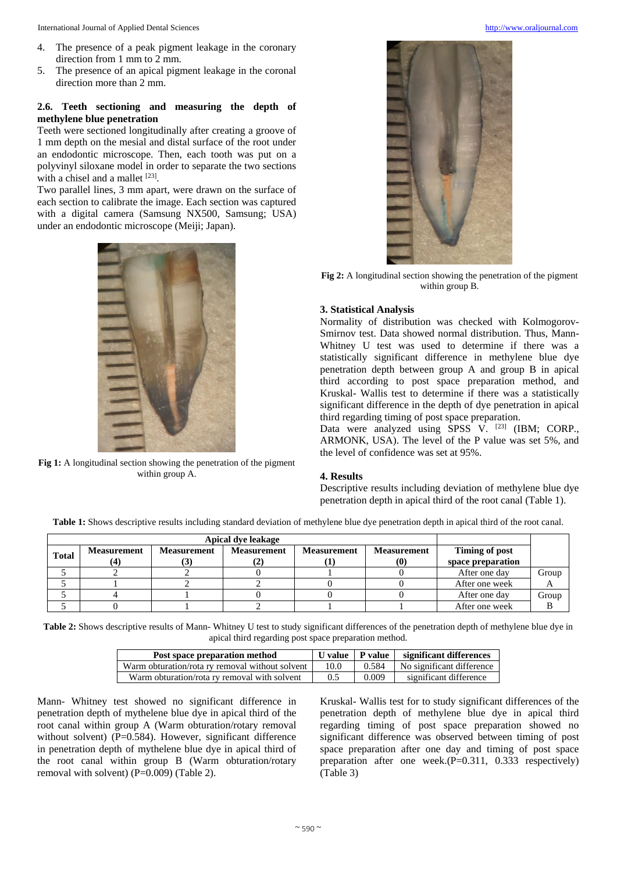International Journal of Applied Dental Sciences [http://www.oraljournal.com](http://www.oraljournal.com/)

- 4. The presence of a peak pigment leakage in the coronary direction from 1 mm to 2 mm.
- 5. The presence of an apical pigment leakage in the coronal direction more than 2 mm.

# **2.6. Teeth sectioning and measuring the depth of methylene blue penetration**

Teeth were sectioned longitudinally after creating a groove of 1 mm depth on the mesial and distal surface of the root under an endodontic microscope. Then, each tooth was put on a polyvinyl siloxane model in order to separate the two sections with a chisel and a mallet  $^{[23]}$ .

Two parallel lines, 3 mm apart, were drawn on the surface of each section to calibrate the image. Each section was captured with a digital camera (Samsung NX500, Samsung; USA) under an endodontic microscope (Meiji; Japan).



**Fig 1:** A longitudinal section showing the penetration of the pigment within group A.



**Fig 2:** A longitudinal section showing the penetration of the pigment within group B.

# **3. Statistical Analysis**

Normality of distribution was checked with Kolmogorov-Smirnov test. Data showed normal distribution. Thus, Mann-Whitney U test was used to determine if there was a statistically significant difference in methylene blue dye penetration depth between group A and group B in apical third according to post space preparation method, and Kruskal- Wallis test to determine if there was a statistically significant difference in the depth of dye penetration in apical third regarding timing of post space preparation.

Data were analyzed using SPSS V. [23] (IBM; CORP., ARMONK, USA). The level of the P value was set 5%, and the level of confidence was set at 95%.

# **4. Results**

Descriptive results including deviation of methylene blue dye penetration depth in apical third of the root canal (Table 1).

**Table 1:** Shows descriptive results including standard deviation of methylene blue dye penetration depth in apical third of the root canal.

| <b>Total</b> | <b>Measurement</b> | <b>Measurement</b><br>l J I | <b>Measurement</b><br>LZ. | <b>Measurement</b> | <b>Measurement</b><br>$\boldsymbol{0}$ | Timing of post<br>space preparation |       |
|--------------|--------------------|-----------------------------|---------------------------|--------------------|----------------------------------------|-------------------------------------|-------|
|              |                    |                             |                           |                    |                                        | After one day                       | Group |
|              |                    |                             |                           |                    |                                        | After one week                      |       |
|              |                    |                             |                           |                    |                                        | After one day                       | Group |
|              |                    |                             |                           |                    |                                        | After one week                      |       |

**Table 2:** Shows descriptive results of Mann- Whitney U test to study significant differences of the penetration depth of methylene blue dye in apical third regarding post space preparation method.

| Post space preparation method                   | U value   P value |       | significant differences   |
|-------------------------------------------------|-------------------|-------|---------------------------|
| Warm obturation/rota ry removal without solvent | 10.0              | 0.584 | No significant difference |
| Warm obturation/rota ry removal with solvent    | 0.5               | 0.009 | significant difference    |

Mann- Whitney test showed no significant difference in penetration depth of mythelene blue dye in apical third of the root canal within group A (Warm obturation/rotary removal without solvent) (P=0.584). However, significant difference in penetration depth of mythelene blue dye in apical third of the root canal within group B (Warm obturation/rotary removal with solvent) (P=0.009) (Table 2).

Kruskal- Wallis test for to study significant differences of the penetration depth of methylene blue dye in apical third regarding timing of post space preparation showed no significant difference was observed between timing of post space preparation after one day and timing of post space preparation after one week.(P=0.311, 0.333 respectively) (Table 3)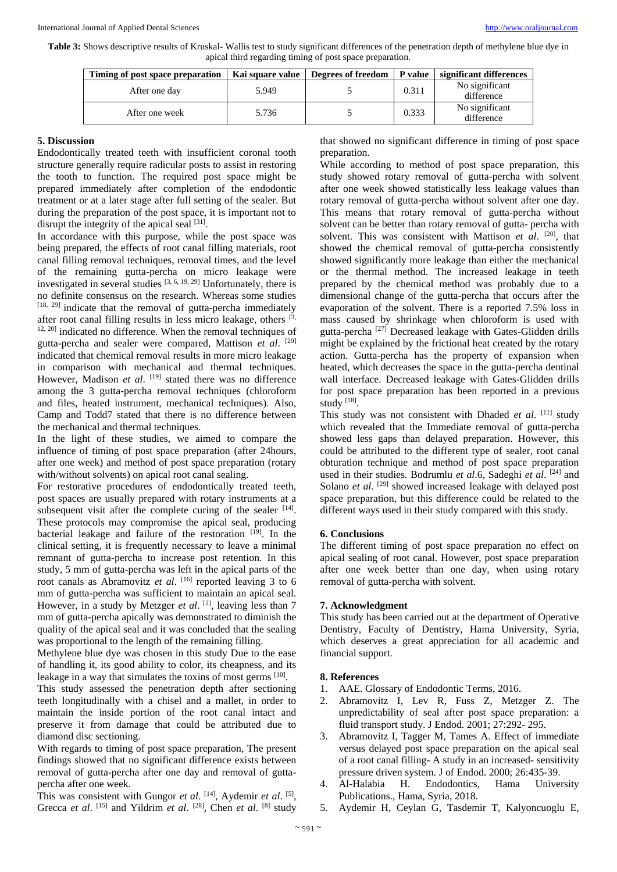**Table 3:** Shows descriptive results of Kruskal- Wallis test to study significant differences of the penetration depth of methylene blue dye in apical third regarding timing of post space preparation.

| Timing of post space preparation | Kai square value | Degrees of freedom   P value |       | significant differences      |
|----------------------------------|------------------|------------------------------|-------|------------------------------|
| After one day                    | 5.949            |                              | 0.311 | No significant<br>difference |
| After one week                   | 5.736            |                              | 0.333 | No significant<br>difference |

#### **5. Discussion**

Endodontically treated teeth with insufficient coronal tooth structure generally require radicular posts to assist in restoring the tooth to function. The required post space might be prepared immediately after completion of the endodontic treatment or at a later stage after full setting of the sealer. But during the preparation of the post space, it is important not to disrupt the integrity of the apical seal  $[31]$ .

In accordance with this purpose, while the post space was being prepared, the effects of root canal filling materials, root canal filling removal techniques, removal times, and the level of the remaining gutta-percha on micro leakage were investigated in several studies  $[3, 6, 19, 29]$  Unfortunately, there is no definite consensus on the research. Whereas some studies [18, 29] indicate that the removal of gutta-percha immediately after root canal filling results in less micro leakage, others  $[3,$ 12, 20] indicated no difference. When the removal techniques of gutta-percha and sealer were compared, Mattison *et al*. [20] indicated that chemical removal results in more micro leakage in comparison with mechanical and thermal techniques. However, Madison *et al.* [19] stated there was no difference among the 3 gutta-percha removal techniques (chloroform and files, heated instrument, mechanical techniques). Also, Camp and Todd7 stated that there is no difference between the mechanical and thermal techniques.

In the light of these studies, we aimed to compare the influence of timing of post space preparation (after 24hours, after one week) and method of post space preparation (rotary with/without solvents) on apical root canal sealing.

For restorative procedures of endodontically treated teeth, post spaces are usually prepared with rotary instruments at a subsequent visit after the complete curing of the sealer  $[14]$ . These protocols may compromise the apical seal, producing bacterial leakage and failure of the restoration [19]. In the clinical setting, it is frequently necessary to leave a minimal remnant of gutta-percha to increase post retention. In this study, 5 mm of gutta-percha was left in the apical parts of the root canals as Abramovitz *et al.* [16] reported leaving 3 to 6 mm of gutta-percha was sufficient to maintain an apical seal. However, in a study by Metzger *et al.* <sup>[2]</sup>, leaving less than 7 mm of gutta-percha apically was demonstrated to diminish the quality of the apical seal and it was concluded that the sealing was proportional to the length of the remaining filling.

Methylene blue dye was chosen in this study Due to the ease of handling it, its good ability to color, its cheapness, and its leakage in a way that simulates the toxins of most germs [10].

This study assessed the penetration depth after sectioning teeth longitudinally with a chisel and a mallet, in order to maintain the inside portion of the root canal intact and preserve it from damage that could be attributed due to diamond disc sectioning.

With regards to timing of post space preparation, The present findings showed that no significant difference exists between removal of gutta-percha after one day and removal of guttapercha after one week.

This was consistent with Gungor *et al*. <sup>[14]</sup>, Aydemir *et al.* <sup>[5]</sup>, Grecca *et al.* [15] and Yildrim *et al.* [28], Chen *et al.* [8] study that showed no significant difference in timing of post space preparation.

While according to method of post space preparation, this study showed rotary removal of gutta-percha with solvent after one week showed statistically less leakage values than rotary removal of gutta-percha without solvent after one day. This means that rotary removal of gutta-percha without solvent can be better than rotary removal of gutta- percha with solvent. This was consistent with Mattison et al. <sup>[20]</sup>, that showed the chemical removal of gutta-percha consistently showed significantly more leakage than either the mechanical or the thermal method. The increased leakage in teeth prepared by the chemical method was probably due to a dimensional change of the gutta-percha that occurs after the evaporation of the solvent. There is a reported 7.5% loss in mass caused by shrinkage when chloroform is used with gutta-percha [27] Decreased leakage with Gates-Glidden drills might be explained by the frictional heat created by the rotary action. Gutta-percha has the property of expansion when heated, which decreases the space in the gutta-percha dentinal wall interface. Decreased leakage with Gates-Glidden drills for post space preparation has been reported in a previous study [18].

This study was not consistent with Dhaded et al. [11] study which revealed that the Immediate removal of gutta-percha showed less gaps than delayed preparation. However, this could be attributed to the different type of sealer, root canal obturation technique and method of post space preparation used in their studies. Bodrumlu et al.6, Sadeghi et al.<sup>[24]</sup> and Solano *et al.* <sup>[29]</sup> showed increased leakage with delayed post space preparation, but this difference could be related to the different ways used in their study compared with this study.

## **6. Conclusions**

The different timing of post space preparation no effect on apical sealing of root canal. However, post space preparation after one week better than one day, when using rotary removal of gutta-percha with solvent.

## **7. Acknowledgment**

This study has been carried out at the department of Operative Dentistry, Faculty of Dentistry, Hama University, Syria, which deserves a great appreciation for all academic and financial support.

## **8. References**

- 1. AAE. Glossary of Endodontic Terms, 2016.
- 2. Abramovitz I, Lev R, Fuss Z, Metzger Z. The unpredictability of seal after post space preparation: a fluid transport study. J Endod. 2001; 27:292- 295.
- 3. Abramovitz I, Tagger M, Tames A. Effect of immediate versus delayed post space preparation on the apical seal of a root canal filling- A study in an increased- sensitivity pressure driven system. J of Endod. 2000; 26:435-39.
- 4. Al-Halabia H. Endodontics, Hama University Publications., Hama, Syria, 2018.
- 5. Aydemir H, Ceylan G, Tasdemir T, Kalyoncuoglu E,